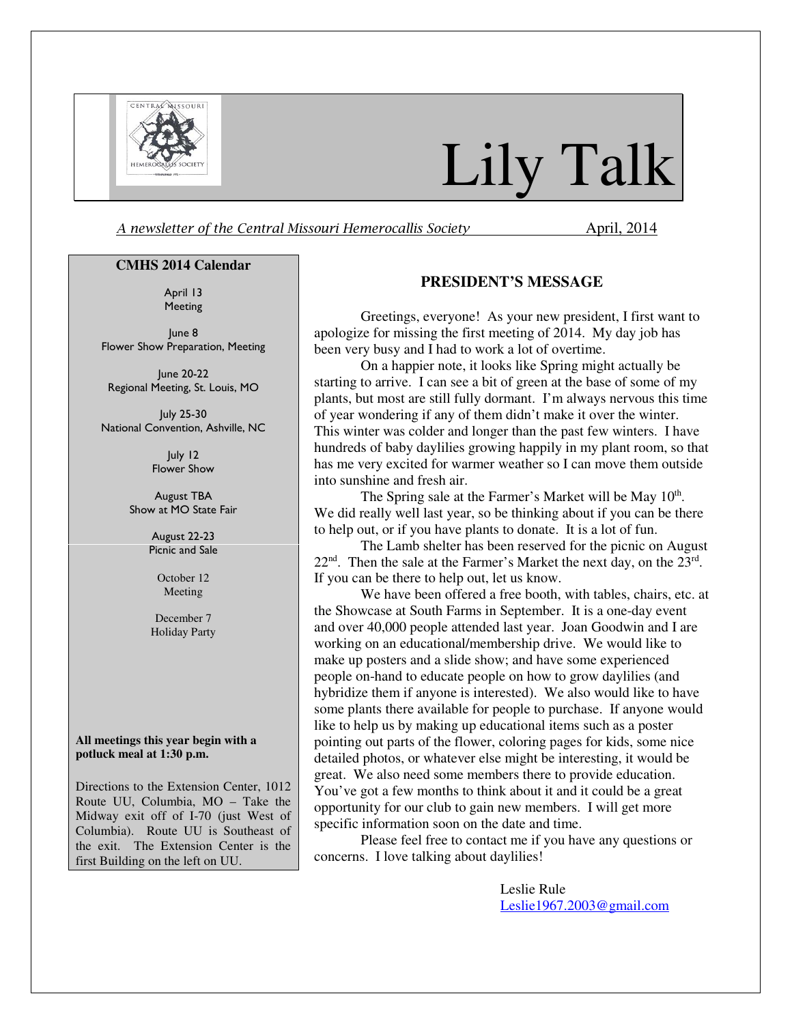

# Lily Talk

A newsletter of the Central Missouri Hemerocallis Society **April, 2014** 

#### **CMHS 2014 Calendar**

April 13 Meeting

June 8 Flower Show Preparation, Meeting

June 20-22 Regional Meeting, St. Louis, MO

July 25-30 National Convention, Ashville, NC

> July 12 Flower Show

August TBA Show at MO State Fair

> August 22-23 Picnic and Sale

> > October 12 Meeting

December 7 Holiday Party

#### **All meetings this year begin with a potluck meal at 1:30 p.m.**

Directions to the Extension Center, 1012 Route UU, Columbia, MO – Take the Midway exit off of I-70 (just West of Columbia). Route UU is Southeast of the exit. The Extension Center is the first Building on the left on UU.

#### **PRESIDENT'S MESSAGE**

Greetings, everyone! As your new president, I first want to apologize for missing the first meeting of 2014. My day job has been very busy and I had to work a lot of overtime.

On a happier note, it looks like Spring might actually be starting to arrive. I can see a bit of green at the base of some of my plants, but most are still fully dormant. I'm always nervous this time of year wondering if any of them didn't make it over the winter. This winter was colder and longer than the past few winters. I have hundreds of baby daylilies growing happily in my plant room, so that has me very excited for warmer weather so I can move them outside into sunshine and fresh air.

The Spring sale at the Farmer's Market will be May 10<sup>th</sup>. We did really well last year, so be thinking about if you can be there to help out, or if you have plants to donate. It is a lot of fun.

The Lamb shelter has been reserved for the picnic on August  $22<sup>nd</sup>$ . Then the sale at the Farmer's Market the next day, on the  $23<sup>rd</sup>$ . If you can be there to help out, let us know.

We have been offered a free booth, with tables, chairs, etc. at the Showcase at South Farms in September. It is a one-day event and over 40,000 people attended last year. Joan Goodwin and I are working on an educational/membership drive. We would like to make up posters and a slide show; and have some experienced people on-hand to educate people on how to grow daylilies (and hybridize them if anyone is interested). We also would like to have some plants there available for people to purchase. If anyone would like to help us by making up educational items such as a poster pointing out parts of the flower, coloring pages for kids, some nice detailed photos, or whatever else might be interesting, it would be great. We also need some members there to provide education. You've got a few months to think about it and it could be a great opportunity for our club to gain new members. I will get more specific information soon on the date and time.

Please feel free to contact me if you have any questions or concerns. I love talking about daylilies!

> Leslie Rule Leslie1967.2003@gmail.com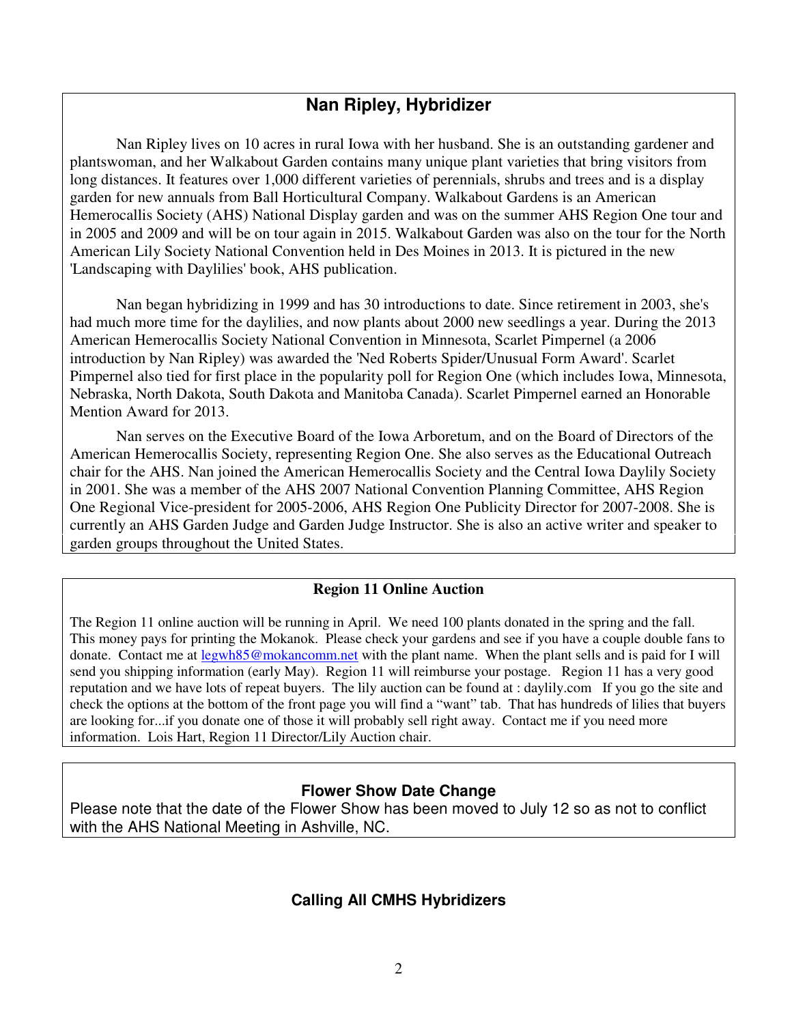# **Nan Ripley, Hybridizer**

Nan Ripley lives on 10 acres in rural Iowa with her husband. She is an outstanding gardener and plantswoman, and her Walkabout Garden contains many unique plant varieties that bring visitors from long distances. It features over 1,000 different varieties of perennials, shrubs and trees and is a display garden for new annuals from Ball Horticultural Company. Walkabout Gardens is an American Hemerocallis Society (AHS) National Display garden and was on the summer AHS Region One tour and in 2005 and 2009 and will be on tour again in 2015. Walkabout Garden was also on the tour for the North American Lily Society National Convention held in Des Moines in 2013. It is pictured in the new 'Landscaping with Daylilies' book, AHS publication.

Nan began hybridizing in 1999 and has 30 introductions to date. Since retirement in 2003, she's had much more time for the daylilies, and now plants about 2000 new seedlings a year. During the 2013 American Hemerocallis Society National Convention in Minnesota, Scarlet Pimpernel (a 2006 introduction by Nan Ripley) was awarded the 'Ned Roberts Spider/Unusual Form Award'. Scarlet Pimpernel also tied for first place in the popularity poll for Region One (which includes Iowa, Minnesota, Nebraska, North Dakota, South Dakota and Manitoba Canada). Scarlet Pimpernel earned an Honorable Mention Award for 2013.

Nan serves on the Executive Board of the Iowa Arboretum, and on the Board of Directors of the American Hemerocallis Society, representing Region One. She also serves as the Educational Outreach chair for the AHS. Nan joined the American Hemerocallis Society and the Central Iowa Daylily Society in 2001. She was a member of the AHS 2007 National Convention Planning Committee, AHS Region One Regional Vice-president for 2005-2006, AHS Region One Publicity Director for 2007-2008. She is currently an AHS Garden Judge and Garden Judge Instructor. She is also an active writer and speaker to garden groups throughout the United States.

## **Region 11 Online Auction**

The Region 11 online auction will be running in April. We need 100 plants donated in the spring and the fall. This money pays for printing the Mokanok. Please check your gardens and see if you have a couple double fans to donate. Contact me at legwh85@mokancomm.net with the plant name. When the plant sells and is paid for I will send you shipping information (early May). Region 11 will reimburse your postage. Region 11 has a very good reputation and we have lots of repeat buyers. The lily auction can be found at : daylily.com If you go the site and check the options at the bottom of the front page you will find a "want" tab. That has hundreds of lilies that buyers are looking for...if you donate one of those it will probably sell right away. Contact me if you need more information. Lois Hart, Region 11 Director/Lily Auction chair.

## **Flower Show Date Change**

Please note that the date of the Flower Show has been moved to July 12 so as not to conflict with the AHS National Meeting in Ashville, NC.

## **Calling All CMHS Hybridizers**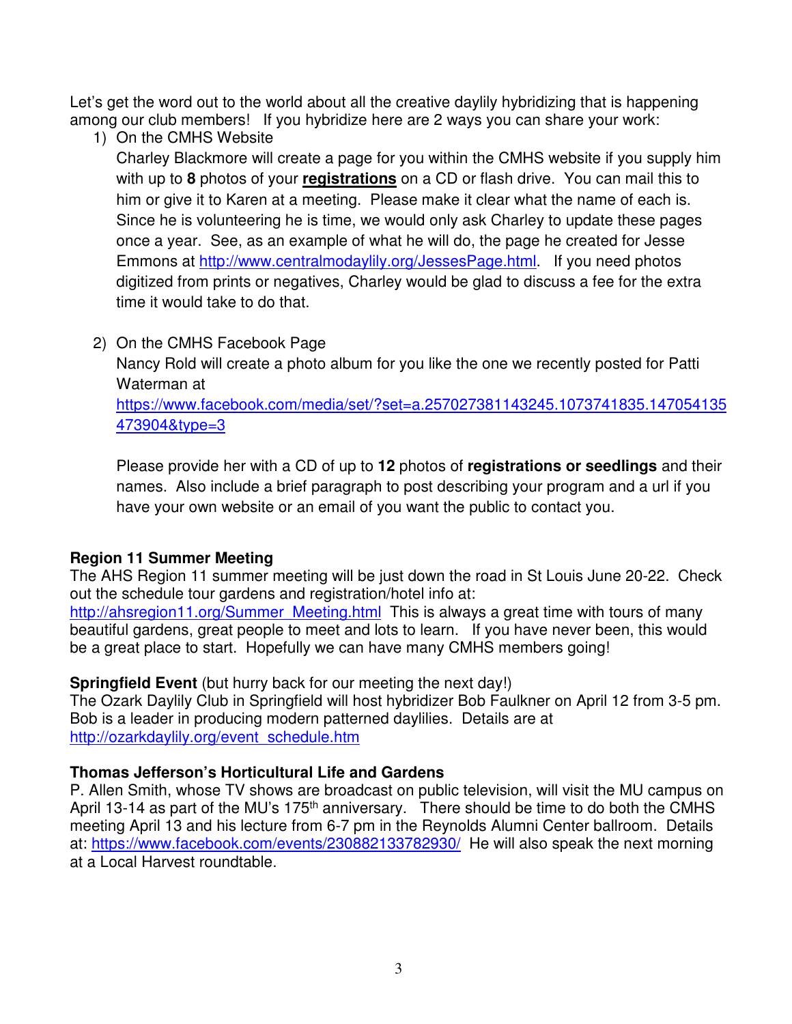Let's get the word out to the world about all the creative daylily hybridizing that is happening among our club members! If you hybridize here are 2 ways you can share your work:

1) On the CMHS Website

Charley Blackmore will create a page for you within the CMHS website if you supply him with up to **8** photos of your **registrations** on a CD or flash drive. You can mail this to him or give it to Karen at a meeting. Please make it clear what the name of each is. Since he is volunteering he is time, we would only ask Charley to update these pages once a year. See, as an example of what he will do, the page he created for Jesse Emmons at http://www.centralmodaylily.org/JessesPage.html. If you need photos digitized from prints or negatives, Charley would be glad to discuss a fee for the extra time it would take to do that.

# 2) On the CMHS Facebook Page

Nancy Rold will create a photo album for you like the one we recently posted for Patti Waterman at

https://www.facebook.com/media/set/?set=a.257027381143245.1073741835.147054135 473904&type=3

Please provide her with a CD of up to **12** photos of **registrations or seedlings** and their names. Also include a brief paragraph to post describing your program and a url if you have your own website or an email of you want the public to contact you.

# **Region 11 Summer Meeting**

The AHS Region 11 summer meeting will be just down the road in St Louis June 20-22. Check out the schedule tour gardens and registration/hotel info at:

http://ahsregion11.org/Summer\_Meeting.html This is always a great time with tours of many beautiful gardens, great people to meet and lots to learn. If you have never been, this would be a great place to start. Hopefully we can have many CMHS members going!

# **Springfield Event** (but hurry back for our meeting the next day!)

The Ozark Daylily Club in Springfield will host hybridizer Bob Faulkner on April 12 from 3-5 pm. Bob is a leader in producing modern patterned daylilies. Details are at http://ozarkdaylily.org/event\_schedule.htm

# **Thomas Jefferson's Horticultural Life and Gardens**

P. Allen Smith, whose TV shows are broadcast on public television, will visit the MU campus on April 13-14 as part of the MU's 175<sup>th</sup> anniversary. There should be time to do both the CMHS meeting April 13 and his lecture from 6-7 pm in the Reynolds Alumni Center ballroom. Details at: https://www.facebook.com/events/230882133782930/ He will also speak the next morning at a Local Harvest roundtable.